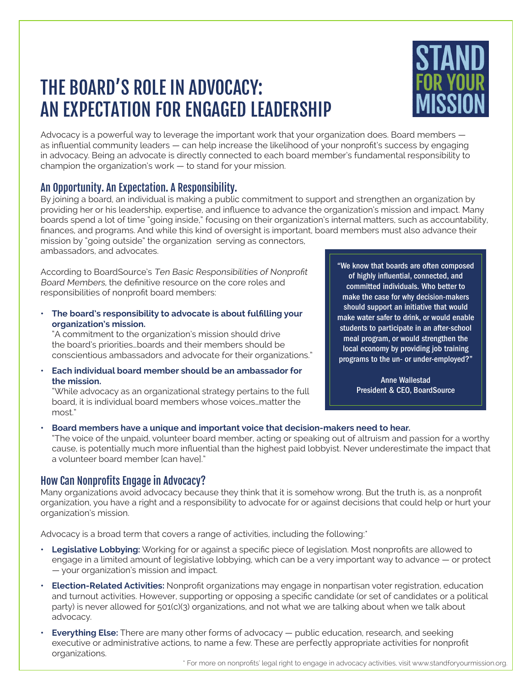## THE BOARD'S ROLE IN ADVOCACY: AN EXPECTATION FOR ENGAGED LEADERSHIP



Advocacy is a powerful way to leverage the important work that your organization does. Board members  $$ as influential community leaders — can help increase the likelihood of your nonprofit's success by engaging in advocacy. Being an advocate is directly connected to each board member's fundamental responsibility to champion the organization's work — to stand for your mission.

### An Opportunity. An Expectation. A Responsibility.

By joining a board, an individual is making a public commitment to support and strengthen an organization by providing her or his leadership, expertise, and influence to advance the organization's mission and impact. Many boards spend a lot of time "going inside," focusing on their organization's internal matters, such as accountability, finances, and programs. And while this kind of oversight is important, board members must also advance their mission by "going outside" the organization serving as connectors, ambassadors, and advocates.

According to BoardSource's Ten Basic Responsibilities of Nonprofit Board Members, the definitive resource on the core roles and responsibilities of nonprofit board members:

**• The board's responsibility to advocate is about fulfilling your organization's mission.**

"A commitment to the organization's mission should drive the board's priorities…boards and their members should be conscientious ambassadors and advocate for their organizations."

**• Each individual board member should be an ambassador for the mission.**

"While advocacy as an organizational strategy pertains to the full board, it is individual board members whose voices…matter the most."

"We know that boards are often composed of highly influential, connected, and committed individuals. Who better to make the case for why decision-makers should support an initiative that would make water safer to drink, or would enable students to participate in an after-school meal program, or would strengthen the local economy by providing job training programs to the un- or under-employed?"

> Anne Wallestad President & CEO, BoardSource

#### **• Board members have a unique and important voice that decision-makers need to hear.**

"The voice of the unpaid, volunteer board member, acting or speaking out of altruism and passion for a worthy cause, is potentially much more influential than the highest paid lobbyist. Never underestimate the impact that a volunteer board member [can have]."

#### How Can Nonprofits Engage in Advocacy?

Many organizations avoid advocacy because they think that it is somehow wrong. But the truth is, as a nonprofit organization, you have a right and a responsibility to advocate for or against decisions that could help or hurt your organization's mission.

Advocacy is a broad term that covers a range of activities, including the following:\*

- **Legislative Lobbying:** Working for or against a specific piece of legislation. Most nonprofits are allowed to engage in a limited amount of legislative lobbying, which can be a very important way to advance — or protect — your organization's mission and impact.
- **• Election-Related Activities:** Nonprofit organizations may engage in nonpartisan voter registration, education and turnout activities. However, supporting or opposing a specific candidate (or set of candidates or a political party) is never allowed for 501(c)(3) organizations, and not what we are talking about when we talk about advocacy.
- **Everything Else:** There are many other forms of advocacy public education, research, and seeking executive or administrative actions, to name a few. These are perfectly appropriate activities for nonprofit organizations.